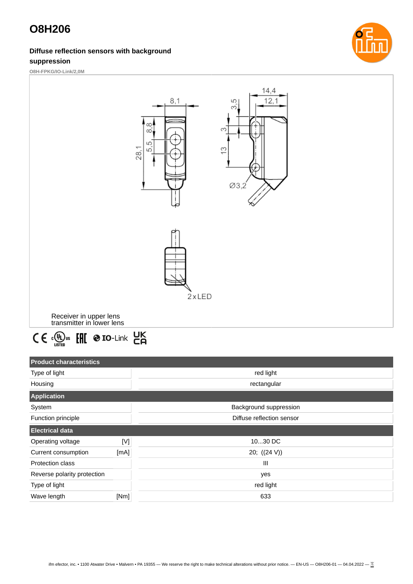#### **Diffuse reflection sensors with background suppression**



**O8H-FPKG/IO-Link/2,0M**





| <b>Product characteristics</b> |                        |                           |
|--------------------------------|------------------------|---------------------------|
| Type of light                  |                        | red light                 |
| Housing                        |                        | rectangular               |
| <b>Application</b>             |                        |                           |
| System                         | Background suppression |                           |
| Function principle             |                        | Diffuse reflection sensor |
| <b>Electrical data</b>         |                        |                           |
| Operating voltage              | [N]                    | 1030 DC                   |
| Current consumption            | [mA]                   | 20; $((24 V))$            |
| <b>Protection class</b>        |                        | Ш                         |
| Reverse polarity protection    |                        | yes                       |
| Type of light                  |                        | red light                 |
| Wave length                    | [Nm]                   | 633                       |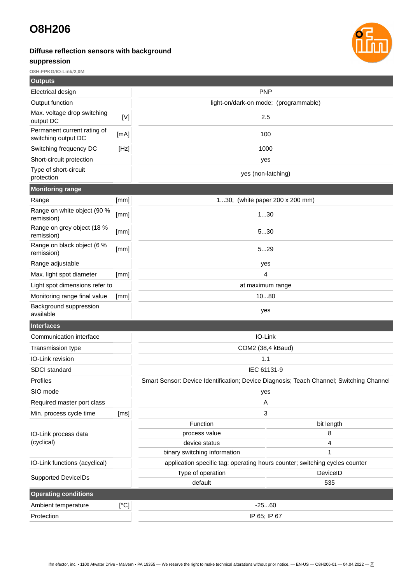### **Diffuse reflection sensors with background**

### **suppression**



**O8H-FPKG/IO-Link/2,0M**

| <b>Outputs</b>                                     |      |                                                                                                             |            |  |
|----------------------------------------------------|------|-------------------------------------------------------------------------------------------------------------|------------|--|
| Electrical design                                  |      | <b>PNP</b>                                                                                                  |            |  |
| Output function                                    |      | light-on/dark-on mode; (programmable)                                                                       |            |  |
| Max. voltage drop switching<br>output DC           | [V]  | 2.5                                                                                                         |            |  |
| Permanent current rating of<br>switching output DC | [mA] | 100                                                                                                         |            |  |
| Switching frequency DC                             | [Hz] | 1000                                                                                                        |            |  |
| Short-circuit protection                           |      | yes                                                                                                         |            |  |
| Type of short-circuit<br>protection                |      | yes (non-latching)                                                                                          |            |  |
| <b>Monitoring range</b>                            |      |                                                                                                             |            |  |
| Range                                              | [mm] | 130; (white paper 200 x 200 mm)                                                                             |            |  |
| Range on white object (90 %<br>remission)          | [mm] | 130                                                                                                         |            |  |
| Range on grey object (18 %<br>remission)           | [mm] | 530                                                                                                         |            |  |
| Range on black object (6 %<br>remission)           | [mm] | 529                                                                                                         |            |  |
| Range adjustable                                   |      | yes                                                                                                         |            |  |
| Max. light spot diameter                           | [mm] | 4                                                                                                           |            |  |
| Light spot dimensions refer to                     |      | at maximum range                                                                                            |            |  |
| Monitoring range final value                       | [mm] | 1080                                                                                                        |            |  |
| Background suppression<br>available                |      | yes                                                                                                         |            |  |
| <b>Interfaces</b>                                  |      |                                                                                                             |            |  |
| Communication interface                            |      | IO-Link                                                                                                     |            |  |
| Transmission type                                  |      | COM2 (38,4 kBaud)                                                                                           |            |  |
| IO-Link revision                                   |      | 1.1                                                                                                         |            |  |
| <b>SDCI</b> standard                               |      | IEC 61131-9                                                                                                 |            |  |
| <b>Profiles</b>                                    |      | Smart Sensor: Device Identification; Device Diagnosis; Teach Channel; Switching Channel                     |            |  |
| SIO mode                                           |      | yes                                                                                                         |            |  |
| Required master port class                         |      | A                                                                                                           |            |  |
| Min. process cycle time                            | [ms] | 3                                                                                                           |            |  |
|                                                    |      | Function                                                                                                    | bit length |  |
| IO-Link process data                               |      | process value                                                                                               | 8          |  |
| (cyclical)                                         |      | device status                                                                                               | 4          |  |
| IO-Link functions (acyclical)                      |      | binary switching information<br>application specific tag; operating hours counter; switching cycles counter | 1          |  |
|                                                    |      | Type of operation                                                                                           | DeviceID   |  |
| <b>Supported DeviceIDs</b>                         |      | default                                                                                                     | 535        |  |
| <b>Operating conditions</b>                        |      |                                                                                                             |            |  |
| Ambient temperature                                | [°C] | $-2560$                                                                                                     |            |  |
| Protection                                         |      | IP 65; IP 67                                                                                                |            |  |
|                                                    |      |                                                                                                             |            |  |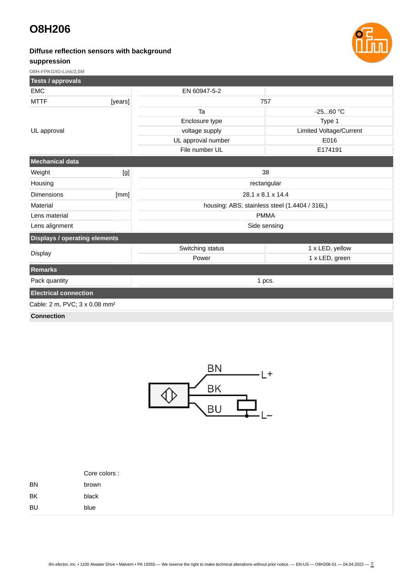#### **Diffuse reflection sensors with background**





**O8H-FPKG/IO-Link/2,0M**

| <b>Tests / approvals</b>                  |         |                                               |                         |  |  |
|-------------------------------------------|---------|-----------------------------------------------|-------------------------|--|--|
| <b>EMC</b>                                |         | EN 60947-5-2                                  |                         |  |  |
| <b>MTTF</b>                               | [years] | 757                                           |                         |  |  |
| UL approval                               |         | Ta                                            | $-2560 °C$              |  |  |
|                                           |         | Enclosure type                                | Type 1                  |  |  |
|                                           |         | voltage supply                                | Limited Voltage/Current |  |  |
|                                           |         | UL approval number                            | E016                    |  |  |
|                                           |         | File number UL                                | E174191                 |  |  |
| Mechanical data                           |         |                                               |                         |  |  |
| Weight                                    | [g]     | 38                                            |                         |  |  |
| Housing                                   |         | rectangular                                   |                         |  |  |
| <b>Dimensions</b>                         | [mm]    | 28.1 x 8.1 x 14.4                             |                         |  |  |
| Material                                  |         | housing: ABS; stainless steel (1.4404 / 316L) |                         |  |  |
| Lens material                             |         | <b>PMMA</b>                                   |                         |  |  |
| Lens alignment                            |         | Side sensing                                  |                         |  |  |
| <b>Displays / operating elements</b>      |         |                                               |                         |  |  |
|                                           |         | Switching status                              | 1 x LED, yellow         |  |  |
| <b>Display</b>                            |         | Power                                         | 1 x LED, green          |  |  |
| <b>Remarks</b>                            |         |                                               |                         |  |  |
| Pack quantity                             |         | 1 pcs.                                        |                         |  |  |
| <b>Electrical connection</b>              |         |                                               |                         |  |  |
| Cable: 2 m, PVC; 3 x 0.08 mm <sup>2</sup> |         |                                               |                         |  |  |
| <b>Contract Contract</b>                  |         |                                               |                         |  |  |

**Connection**



|           | Core colors : |  |  |
|-----------|---------------|--|--|
| <b>BN</b> | brown         |  |  |
| BK        | black         |  |  |
| <b>BU</b> | blue          |  |  |